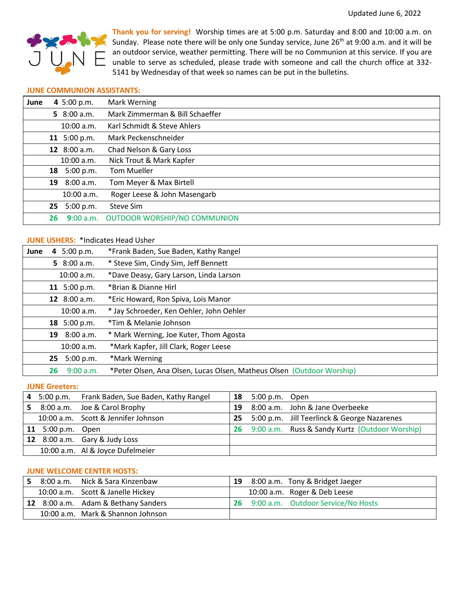

**Thank you for serving!** Worship times are at 5:00 p.m. Saturday and 8:00 and 10:00 a.m. on Sunday. Please note there will be only one Sunday service, June 26<sup>th</sup> at 9:00 a.m. and it will be an outdoor service, weather permitting. There will be no Communion at this service. If you are unable to serve as scheduled, please trade with someone and call the church office at 332- 5141 by Wednesday of that week so names can be put in the bulletins.

### **JUNE COMMUNION ASSISTANTS:**

| June |    | 4 5:00 p.m.   | Mark Werning                        |
|------|----|---------------|-------------------------------------|
|      |    | 5 $8:00 a.m.$ | Mark Zimmerman & Bill Schaeffer     |
|      |    | 10:00 a.m.    | Karl Schmidt & Steve Ahlers         |
|      |    | 11 5:00 p.m.  | Mark Peckenschneider                |
|      |    | 12 8:00 a.m.  | Chad Nelson & Gary Loss             |
|      |    | 10:00 a.m.    | Nick Trout & Mark Kapfer            |
|      |    | 18 5:00 p.m.  | <b>Tom Mueller</b>                  |
|      | 19 | 8:00 a.m.     | Tom Meyer & Max Birtell             |
|      |    | $10:00$ a.m.  | Roger Leese & John Masengarb        |
|      | 25 | 5:00 p.m.     | Steve Sim                           |
|      | 26 | 9:00 a.m.     | <b>OUTDOOR WORSHIP/NO COMMUNION</b> |

# **JUNE USHERS:** \*Indicates Head Usher

| June | 5:00 p.m.<br>4  | *Frank Baden, Sue Baden, Kathy Rangel                                 |
|------|-----------------|-----------------------------------------------------------------------|
|      | 5 $8:00 a.m.$   | * Steve Sim, Cindy Sim, Jeff Bennett                                  |
|      | 10:00 a.m.      | *Dave Deasy, Gary Larson, Linda Larson                                |
|      | 11 5:00 p.m.    | *Brian & Dianne Hirl                                                  |
|      | 12 $8:00 a.m.$  | *Eric Howard, Ron Spiva, Lois Manor                                   |
|      | 10:00 a.m.      | * Jay Schroeder, Ken Oehler, John Oehler                              |
|      | 18 5:00 p.m.    | *Tim & Melanie Johnson                                                |
|      | 8:00 a.m.<br>19 | * Mark Werning, Joe Kuter, Thom Agosta                                |
|      | $10:00$ a.m.    | *Mark Kapfer, Jill Clark, Roger Leese                                 |
|      | 25 5:00 p.m.    | *Mark Werning                                                         |
|      | 9:00 a.m.<br>26 | *Peter Olsen, Ana Olsen, Lucas Olsen, Matheus Olsen (Outdoor Worship) |

#### **JUNE Greeters:**

|    |                   | 4 5:00 p.m. Frank Baden, Sue Baden, Kathy Rangel |    | <b>18</b> 5:00 p.m. Open |                                                |
|----|-------------------|--------------------------------------------------|----|--------------------------|------------------------------------------------|
| 5. |                   | 8:00 a.m. Joe & Carol Brophy                     | 19 |                          | 8:00 a.m. John & Jane Overbeeke                |
|    |                   | 10:00 a.m. Scott & Jennifer Johnson              |    |                          | 25 5:00 p.m. Jill Teerlinck & George Nazarenes |
|    | 11 5:00 p.m. Open |                                                  | 26 |                          | 9:00 a.m. Russ & Sandy Kurtz (Outdoor Worship) |
|    |                   | 12 8:00 a.m. Gary & Judy Loss                    |    |                          |                                                |
|    |                   | 10:00 a.m. Al & Joyce Dufelmeier                 |    |                          |                                                |

# **JUNE WELCOME CENTER HOSTS:**

|  | 8:00 a.m. Nick & Sara Kinzenbaw     | 19  | 8:00 a.m. Tony & Bridget Jaeger    |
|--|-------------------------------------|-----|------------------------------------|
|  | 10:00 a.m. Scott & Janelle Hickey   |     | 10:00 a.m. Roger & Deb Leese       |
|  | 12 8:00 a.m. Adam & Bethany Sanders | -26 | 9:00 a.m. Outdoor Service/No Hosts |
|  | 10:00 a.m. Mark & Shannon Johnson   |     |                                    |